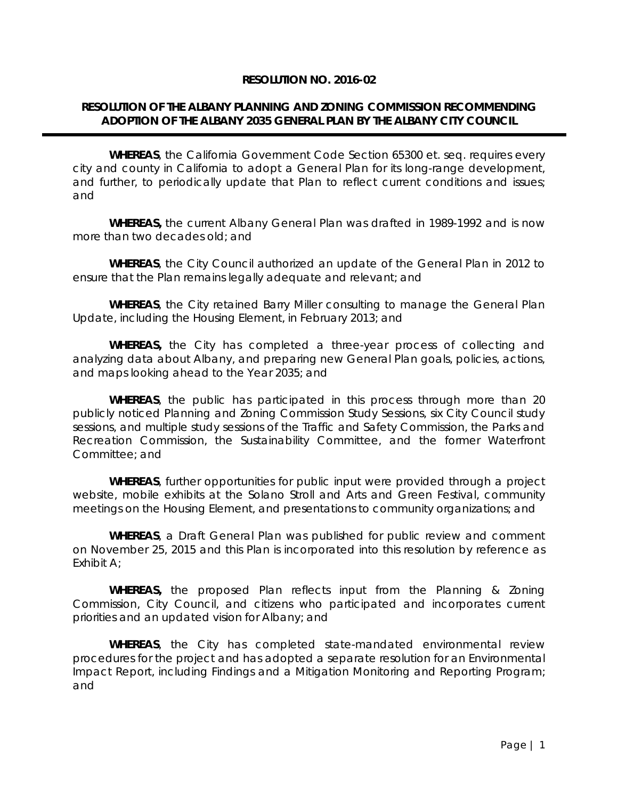### **RESOLUTION NO. 2016-02**

## **RESOLUTION OF THE ALBANY PLANNING AND ZONING COMMISSION RECOMMENDING ADOPTION OF THE ALBANY 2035 GENERAL PLAN BY THE ALBANY CITY COUNCIL**

**WHEREAS**, the California Government Code Section 65300 et. seq. requires every city and county in California to adopt a General Plan for its long-range development, and further, to periodically update that Plan to reflect current conditions and issues; and

**WHEREAS,** the current Albany General Plan was drafted in 1989-1992 and is now more than two decades old; and

**WHEREAS**, the City Council authorized an update of the General Plan in 2012 to ensure that the Plan remains legally adequate and relevant; and

**WHEREAS**, the City retained Barry Miller consulting to manage the General Plan Update, including the Housing Element, in February 2013; and

**WHEREAS,** the City has completed a three-year process of collecting and analyzing data about Albany, and preparing new General Plan goals, policies, actions, and maps looking ahead to the Year 2035; and

**WHEREAS**, the public has participated in this process through more than 20 publicly noticed Planning and Zoning Commission Study Sessions, six City Council study sessions, and multiple study sessions of the Traffic and Safety Commission, the Parks and Recreation Commission, the Sustainability Committee, and the former Waterfront Committee; and

**WHEREAS**, further opportunities for public input were provided through a project website, mobile exhibits at the Solano Stroll and Arts and Green Festival, community meetings on the Housing Element, and presentations to community organizations; and

**WHEREAS**, a Draft General Plan was published for public review and comment on November 25, 2015 and this Plan is incorporated into this resolution by reference as Exhibit A;

**WHEREAS,** the proposed Plan reflects input from the Planning & Zoning Commission, City Council, and citizens who participated and incorporates current priorities and an updated vision for Albany; and

**WHEREAS**, the City has completed state-mandated environmental review procedures for the project and has adopted a separate resolution for an Environmental Impact Report, including Findings and a Mitigation Monitoring and Reporting Program; and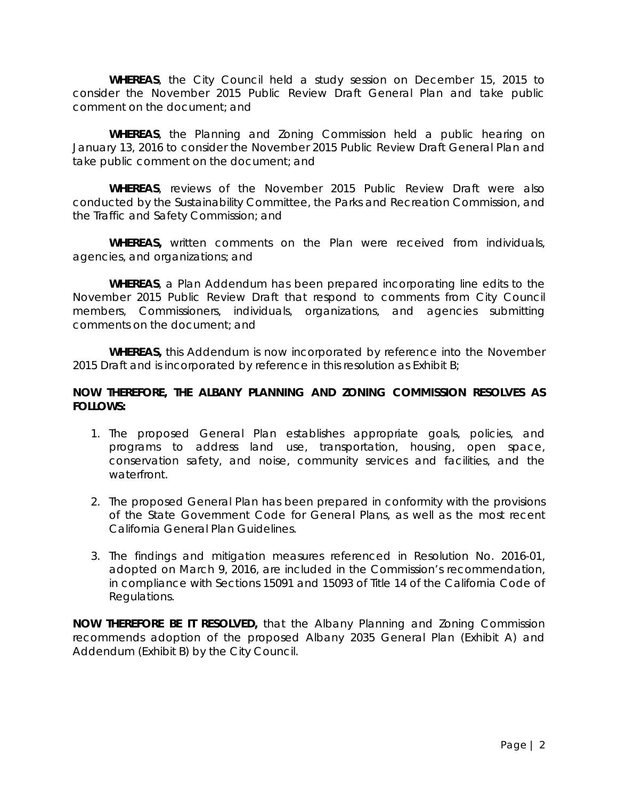**WHEREAS**, the City Council held a study session on December 15, 2015 to consider the November 2015 Public Review Draft General Plan and take public comment on the document; and

**WHEREAS**, the Planning and Zoning Commission held a public hearing on January 13, 2016 to consider the November 2015 Public Review Draft General Plan and take public comment on the document; and

**WHEREAS**, reviews of the November 2015 Public Review Draft were also conducted by the Sustainability Committee, the Parks and Recreation Commission, and the Traffic and Safety Commission; and

**WHEREAS,** written comments on the Plan were received from individuals, agencies, and organizations; and

**WHEREAS**, a Plan Addendum has been prepared incorporating line edits to the November 2015 Public Review Draft that respond to comments from City Council members, Commissioners, individuals, organizations, and agencies submitting comments on the document; and

**WHEREAS,** this Addendum is now incorporated by reference into the November 2015 Draft and is incorporated by reference in this resolution as Exhibit B;

### **NOW THEREFORE, THE ALBANY PLANNING AND ZONING COMMISSION RESOLVES AS FOLLOWS:**

- 1. The proposed General Plan establishes appropriate goals, policies, and programs to address land use, transportation, housing, open space, conservation safety, and noise, community services and facilities, and the waterfront.
- 2. The proposed General Plan has been prepared in conformity with the provisions of the State Government Code for General Plans, as well as the most recent California General Plan Guidelines.
- 3. The findings and mitigation measures referenced in Resolution No. 2016-01, adopted on March 9, 2016, are included in the Commission's recommendation, in compliance with Sections 15091 and 15093 of Title 14 of the California Code of Regulations.

**NOW THEREFORE BE IT RESOLVED,** that the Albany Planning and Zoning Commission recommends adoption of the proposed Albany 2035 General Plan (Exhibit A) and Addendum (Exhibit B) by the City Council.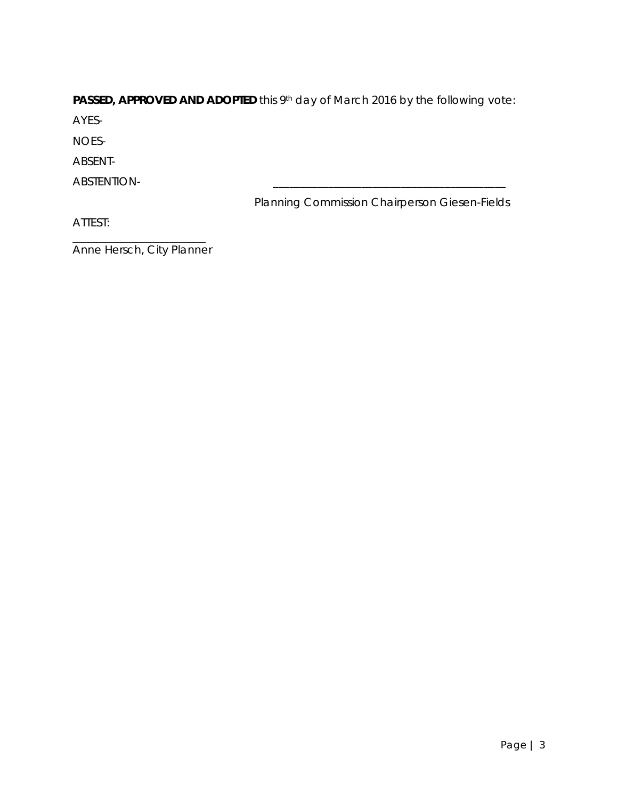# **PASSED, APPROVED AND ADOPTED** this 9th day of March 2016 by the following vote:

AYES-

NOES-

ABSENT-

ABSTENTION- **\_\_\_\_\_\_\_\_\_\_\_\_\_\_\_\_\_\_\_\_\_\_\_\_\_\_\_\_\_\_\_\_\_\_\_\_\_\_\_\_\_\_** 

Planning Commission Chairperson Giesen-Fields

ATTEST:

\_\_\_\_\_\_\_\_\_\_\_\_\_\_\_\_\_\_\_\_\_\_\_\_ Anne Hersch, City Planner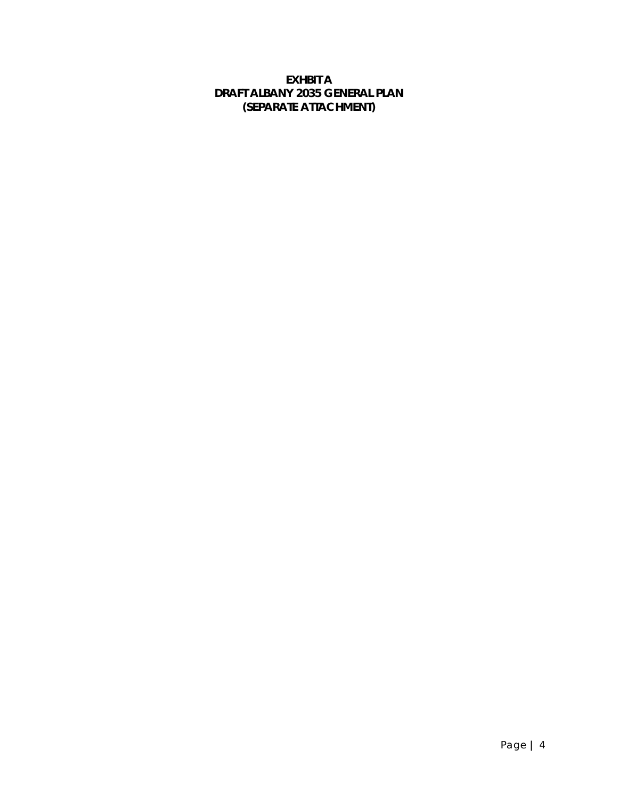# **EXHBIT A DRAFT ALBANY 2035 GENERAL PLAN (SEPARATE ATTACHMENT)**